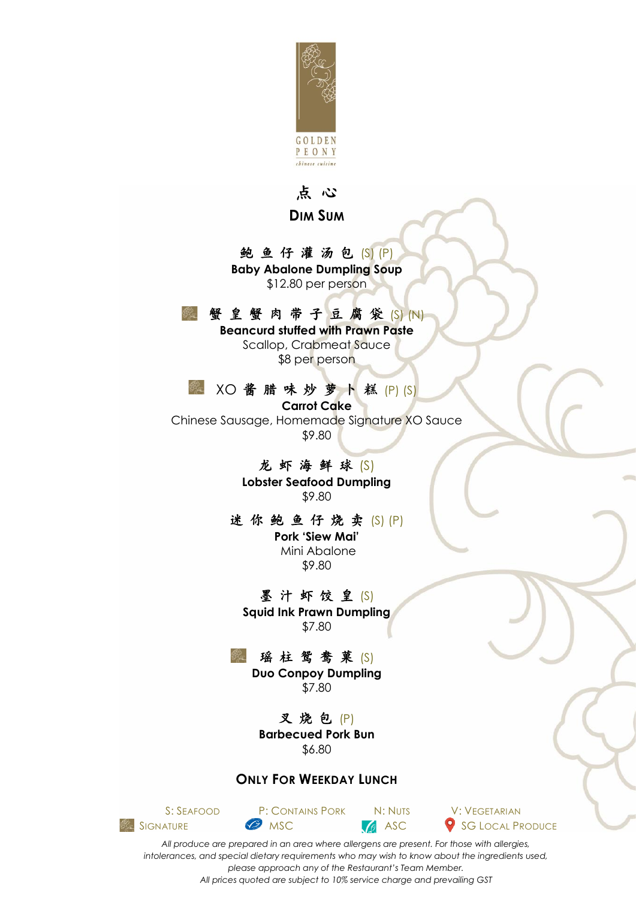

#### 点 心

**DIM SUM**

#### 鲍 鱼 仔 灌 汤 包 (S) (P)

**Baby Abalone Dumpling Soup** \$12.80 per person

### 蟹 皇 蟹 肉 带 子 豆 腐 袋 (S) (N)

**Beancurd stuffed with Prawn Paste** Scallop, Crabmeat Sauce \$8 per person

#### XO 酱 腊 味 炒 萝 卜 糕 (P) (S)  $\mathcal{B}_{\mathcal{K}}^{\infty}$

**Carrot Cake** Chinese Sausage, Homemade Signature XO Sauce \$9.80

### 龙 虾 海 鲜 球 (S)

**Lobster Seafood Dumpling**  \$9.80

#### 迷 你 鲍 鱼 仔 烧 卖 (S) (P)

**Pork 'Siew Mai'** Mini Abalone \$9.80

墨汁虾饺皇(S) **Squid Ink Prawn Dumpling** \$7.80

### 瑶 柱 鸳 鸯 菓 (S)

**Duo Conpoy Dumpling** \$7.80

又烧包 (P) **Barbecued Pork Bun** \$6.80

#### **ONLY FOR WEEKDAY LUNCH**





*All produce are prepared in an area where allergens are present. For those with allergies, intolerances, and special dietary requirements who may wish to know about the ingredients used, please approach any of the Restaurant's Team Member. All prices quoted are subject to 10% service charge and prevailing GST*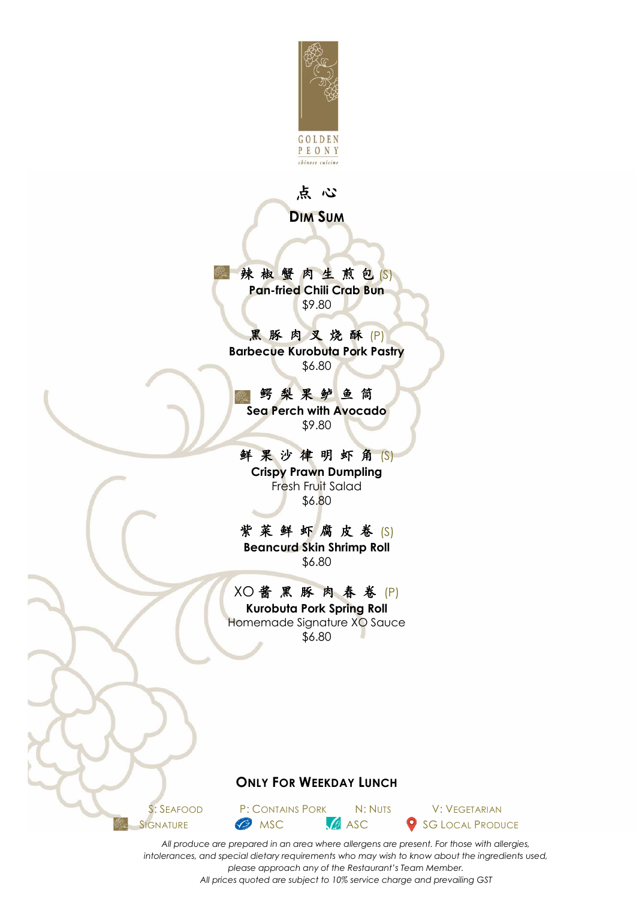

#### 点 心

**DIM SUM**

辣椒蟹肉生煎包(S) **Pan-fried Chili Crab Bun** \$9.80

黑 豚 肉 叉 烧 酥 (P) **Barbecue Kurobuta Pork Pastry** \$6.80

鳄 梨 果 鲈 鱼 筒 ▒ **Sea Perch with Avocado** \$9.80

鲜 果 沙 律 明 虾 角 (S) **Crispy Prawn Dumpling** Fresh Fruit Salad

\$6.80

紫 菜 鲜 虾 腐 皮 卷 (S) **Beancurd Skin Shrimp Roll** \$6.80

### XO 酱 黑 豚 肉 春 卷 (P)

**Kurobuta Pork Spring Roll** Homemade Signature XO Sauce \$6.80

#### **ONLY FOR WEEKDAY LUNCH**

S: SEAFOOD P: CONTAINS PORK N: NUTS V: VEGETARIAN

SIGNATURE MSC MSC SG LOCAL PRODUCE

*All produce are prepared in an area where allergens are present. For those with allergies, intolerances, and special dietary requirements who may wish to know about the ingredients used, please approach any of the Restaurant's Team Member. All prices quoted are subject to 10% service charge and prevailing GST*